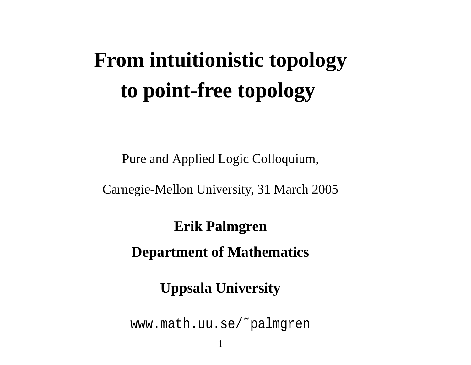# **From intuitionistic topology to point-free topology**

Pure and Applied Logic Colloquium,

Carnegie-Mellon University, 31 March 2005

**Erik Palmgren**

**Department of Mathematics**

**Uppsala University**

www.math.uu.se/˜palmgren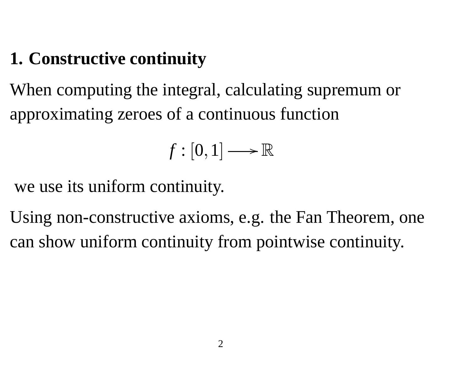# **1. Constructive continuity**

When computing the integral, calculating supremum or approximating zeroes of <sup>a</sup> continuous function

$$
f:[0,1]\longrightarrow \mathbb{R}
$$

we use its uniform continuity.

Using non-constructive axioms, e.g. the Fan Theorem, one can show uniform continuity from pointwise continuity.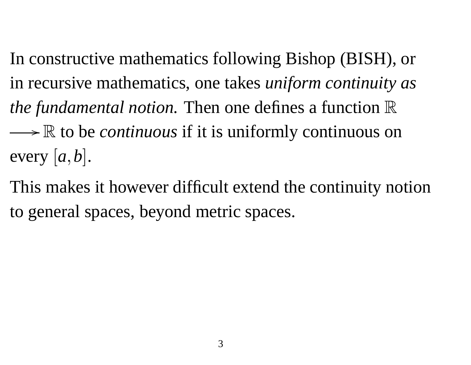In constructive mathematics following Bishop (BISH), or in recursive mathematics, one takes *uniform continuity as the fundamental notion.* Then one defines <sup>a</sup> function R  $\longrightarrow \mathbb{R}$  to be *continuous* if it is uniformly continuous on every  $[a, b]$ .

This makes it however difficult extend the continuity notion to general spaces, beyond metric spaces.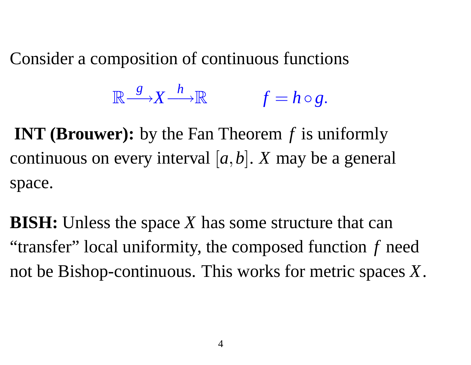Consider <sup>a</sup> composition of continuous functions

 $\mathbb{R} \longrightarrow X \longrightarrow \mathbb{R}$   $f = h \circ g.$ 

**INT (Brouwer):** by the Fan Theorem *f* is uniformly continuous on every interval [*<sup>a</sup>*,*<sup>b</sup>*]. *<sup>X</sup>* may be <sup>a</sup> genera<sup>l</sup> space.

**BISH:** Unless the space *X* has some structure that can "transfer" local uniformity, the composed function *f* need not be Bishop-continuous. This works for metric spaces *X*.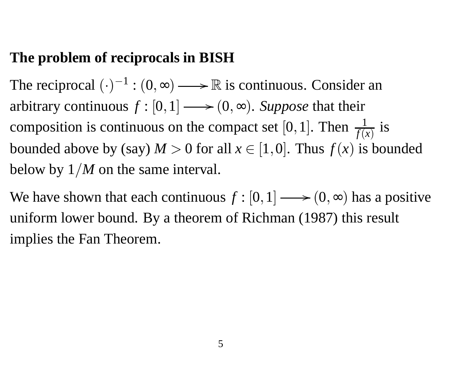#### **The problem of reciprocals in BISH**

The reciprocal  $(\cdot)^{-1}$  :  $(0, \infty) \longrightarrow \mathbb{R}$  is continuous. Consider an arbitrary continuous  $f : [0,1] \longrightarrow (0,\infty)$ . *Suppose* that their composition is continuous on the compact set [0, 1]. Then  $\frac{1}{f(x)}$  is bounded above by (say)  $M > 0$  for all  $x \in [1,0]$ . Thus  $f(x)$  is bounded below by <sup>1</sup>/*<sup>M</sup>* on the same interval.

We have shown that each continuous  $f : [0,1] \longrightarrow (0,\infty)$  has a positive uniform lower bound. By <sup>a</sup> theorem of Richman (1987) this result implies the Fan Theorem.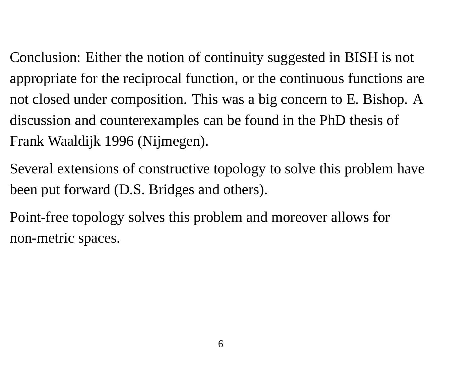Conclusion: Either the notion of continuity suggested in BISH is not appropriate for the reciprocal function, or the continuous functions are not closed under composition. This was <sup>a</sup> big concern to E. Bishop. A discussion and counterexamples can be found in the PhD thesis of Frank Waaldijk 1996 (Nijmegen).

Several extensions of constructive topology to solve this problem have been pu<sup>t</sup> forward (D.S. Bridges and others).

Point-free topology solves this problem and moreover allows for non-metric spaces.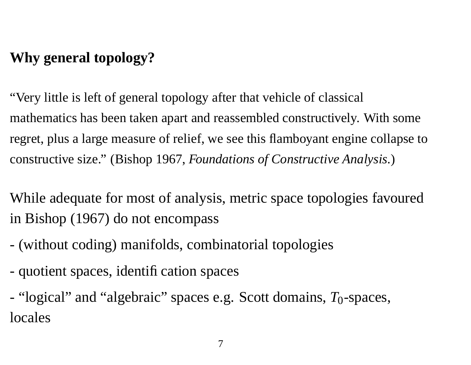#### **Why general topology?**

"Very little is left of general topology after that vehicle of classical mathematics has been taken apar<sup>t</sup> and reassembled constructively. With some regret, plus <sup>a</sup> large measure of relief, we see this flamboyant engine collapse to constructive size." (Bishop 1967, *Foundations of Constructive Analysis.*)

While adequate for most of analysis, metric space topologies favoured in Bishop (1967) do not encompass

- -(without coding) manifolds, combinatorial topologies
- quotient spaces, identification spaces

-- "logical" and "algebraic" spaces e.g. Scott domains, *T*<sub>0</sub>-spaces, locales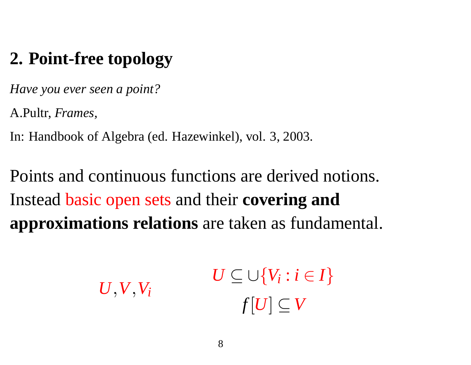### **2. Point-free topology**

*Have you ever seen <sup>a</sup> point?*

A.Pultr, *Frames,*

In: Handbook of Algebra (ed. Hazewinkel), vol. 3, 2003.

Points and continuous functions are derived notions. Instead basic open sets and their **covering and approximations relations** are taken as fundamental.

$$
U, V, V_i \qquad \qquad U \subseteq \cup \{V_i : i \in I\} \qquad \qquad f[U] \subseteq V
$$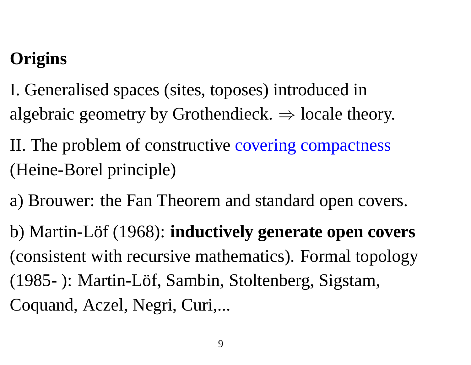# **Origins**

- I. Generalised spaces (sites, toposes) introduced in algebraic geometry by Grothendieck.  $\Rightarrow$  locale theory.
- II. The problem of constructive covering compactness (Heine-Borel principle)
- a) Brouwer: the Fan Theorem and standard open covers.
- b) Martin-Löf (1968): **inductively generate open covers** (consistent with recursive mathematics). Formal topology (1985- ): Martin-Löf, Sambin, Stoltenberg, Sigstam, Coquand, Aczel, Negri, Curi,...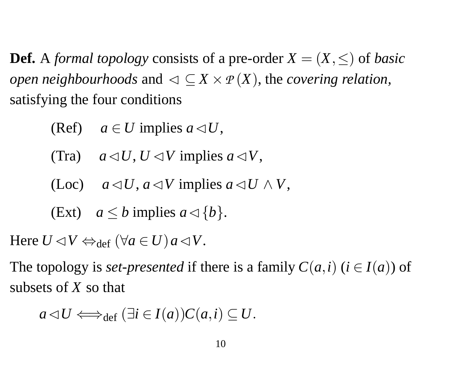**Def.** A *formal topology* consists of a pre-order  $X = (X, \leq)$  of *basic open neighbourhoods* and  $\triangleleft \subseteq X \times P(X)$ , the *covering relation*, satisfying the four conditions

- $(Ref)$   $a \in U$  implies  $a \triangleleft U$ ,
- (Tra)  $a \triangleleft U, U \triangleleft V$  implies  $a \triangleleft V$ ,
- (Loc)  $a \triangleleft U$ ,  $a \triangleleft V$  implies  $a \triangleleft U \wedge V$ ,
- (Ext)  $a \leq b$  implies  $a \leq \{b\}.$

Here  $U \triangleleft V \Leftrightarrow_{def} (\forall a \in U) a \triangleleft V$ .

The topology is *set-presented* if there is a family  $C(a, i)$  ( $i \in I(a)$ ) of subsets of *X* so that

$$
a \triangleleft U \Longleftrightarrow_{\text{def}} (\exists i \in I(a)) C(a, i) \subseteq U.
$$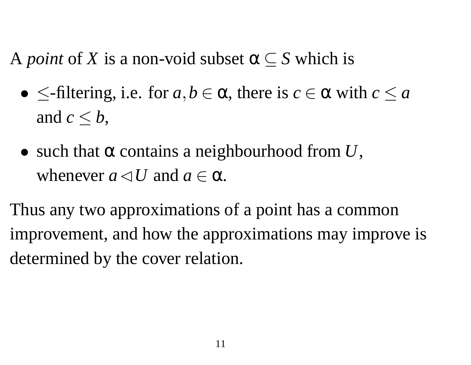A *point* of X is a non-void subset  $\alpha \subset S$  which is

- $\leq$ -filtering, i.e. for  $a, b \in \alpha$ , there is  $c \in \alpha$  with  $c \leq a$ and  $c < b$ ,
- such that  $\alpha$  contains a neighbourhood from  $U$ , whenever  $a \leq U$  and  $a \in \alpha$ .

Thus any two approximations of <sup>a</sup> point has <sup>a</sup> common improvement, and how the approximations may improve is determined by the cover relation.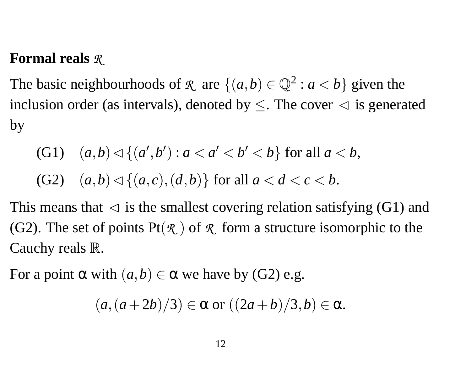#### **Formal reals** *R*

The basic neighbourhoods of *R* are  $\{(a,b) \in \mathbb{Q}^2 : a < b\}$  given the inclusion order (as intervals), denoted by  $\leq$ . The cover  $\lhd$  is generated by

(G1) 
$$
(a,b) \triangleleft \{ (a',b') : a < a' < b' < b \}
$$
 for all  $a < b$ ,

(G2)  $(a,b) \triangleleft \{ (a,c), (d,b) \}$  for all  $a < d < c < b$ .

This means that  $\lhd$  is the smallest covering relation satisfying (G1) and (G2). The set of points  $Pt(R)$  of R form a structure isomorphic to the Cauchy reals  $\mathbb{R}$ .

For a point  $\alpha$  with  $(a,b) \in \alpha$  we have by (G2) e.g.

$$
(a, (a+2b)/3) \in \alpha \text{ or } ((2a+b)/3, b) \in \alpha.
$$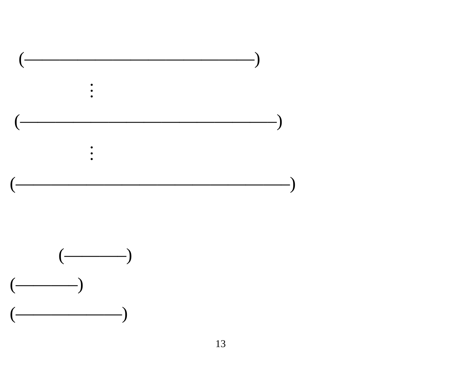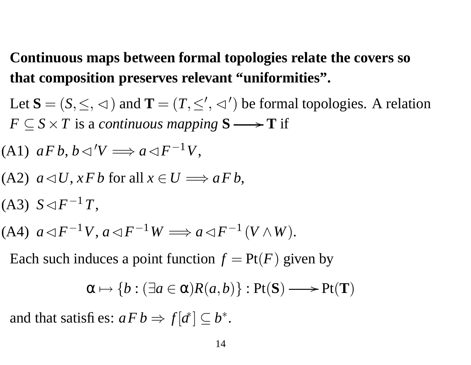- **Continuous maps between formal topologies relate the covers so that composition preserves relevant "uniformities".**
- Let  $S = (S, \leq, \leq)$  and  $T = (T, \leq', \leq')$  be formal topologies. A relation  $F \subseteq S \times T$  is a *continuous mapping*  $S \longrightarrow T$  if

$$
(A1) aFb, b\triangleleft V \Longrightarrow a\triangleleft F^{-1}V,
$$

- $(A2)$   $a \triangleleft U$ ,  $xFb$  for all  $x \in U \Longrightarrow aFb$ ,
- $(A3)$  *S*  $\lhd F^{-1}T$ ,
- $(A4)$   $a \triangleleft F^{-1}V$ ,  $a \triangleleft F^{-1}W \Longrightarrow a \triangleleft F^{-1}(V \wedge W)$ .
	- Each such induces a point function  $f = Pt(F)$  given by

$$
\alpha \mapsto \{b : (\exists a \in \alpha)R(a,b)\} : \text{Pt}(\mathbf{S}) \longrightarrow \text{Pt}(\mathbf{T})
$$

and that satisfies:  $aFb \Rightarrow f[a^*] \subseteq b^*$ .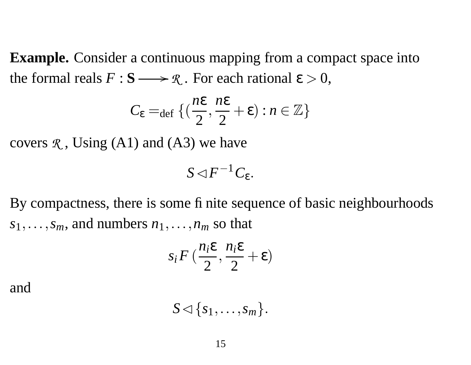**Example.** Consider <sup>a</sup> continuous mapping from <sup>a</sup> compac<sup>t</sup> space into the formal reals  $F : S \longrightarrow \mathcal{R}$ . For each rational  $\varepsilon > 0$ ,

$$
C_{\varepsilon} =_{\text{def}} \{ \left( \frac{n\varepsilon}{2}, \frac{n\varepsilon}{2} + \varepsilon \right) : n \in \mathbb{Z} \}
$$

covers  $\mathcal{R}$ , Using (A1) and (A3) we have

$$
S \triangleleft F^{-1} C_{\varepsilon}.
$$

By compactness, there is some finite sequence of basic neighbourhoods  $s_1, \ldots, s_m$ , and numbers  $n_1, \ldots, n_m$  so that

$$
s_i F\left(\frac{n_i \varepsilon}{2}, \frac{n_i \varepsilon}{2} + \varepsilon\right)
$$

and

$$
S \triangleleft \{s_1,\ldots,s_m\}.
$$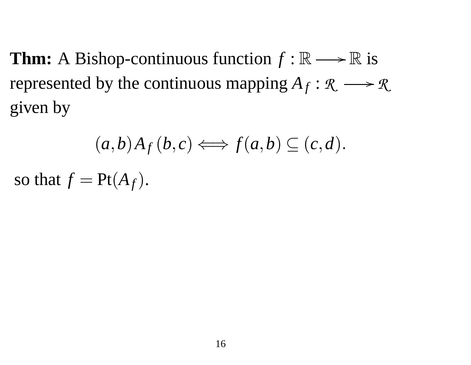**Thm:** A Bishop-continuous function  $f : \mathbb{R} \longrightarrow \mathbb{R}$  is represented by the continuous mapping  $A_f : \mathcal{R} \longrightarrow \mathcal{R}$ given by

$$
(a,b)A_f(b,c) \Longleftrightarrow f(a,b) \subseteq (c,d).
$$

so that  $f = Pt(A_f)$ .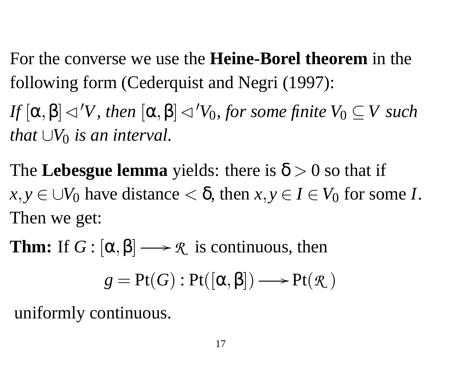For the converse we use the **Heine-Borel theorem** in the following form (Cederquist and Negri (1997):

 $I_f[\alpha, \beta] \triangleleft' V$ , *then*  $[\alpha, \beta] \triangleleft' V_0$ , *for some finite*  $V_0 \subseteq V$  *such that*  $\bigcup V_0$  *is an interval.* 

The **Lebesgue lemma** yields: there is  $\delta > 0$  so that if  $x, y \in \bigcup V_0$  have distance  $\lt \delta$ , then  $x, y \in I \in V_0$  for some *I*. Then we get:

**Thm:** If  $G : [\alpha, \beta] \longrightarrow \mathcal{R}$  is continuous, then

$$
g = \mathrm{Pt}(G) : \mathrm{Pt}([\alpha, \beta]) \longrightarrow \mathrm{Pt}(\mathcal{R})
$$

uniformly continuous.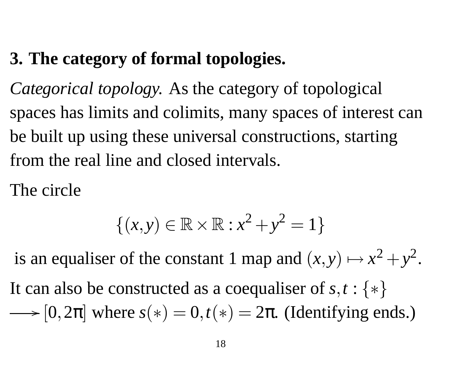# **3. The category of formal topologies.**

*Categorical topology.* As the category of topological spaces has limits and colimits, many spaces of interest can be built up using these universal constructions, starting from the real line and closed intervals.

The circle

$$
\{(x,y)\in\mathbb{R}\times\mathbb{R}:x^2+y^2=1\}
$$

is an equaliser of the constant 1 map and  $(x, y) \mapsto x^2 + y^2$ . It can also be constructed as a coequaliser of  $s, t : \{*\}$  $\longrightarrow$  [0,2 $\pi$ ] where  $s(*) = 0, t(*) = 2\pi$ . (Identifying ends.)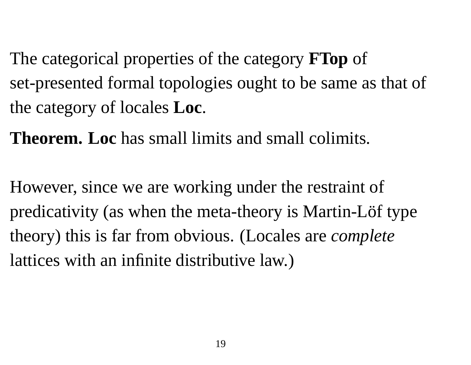The categorical properties of the category **FTop** of set-presented formal topologies ought to be same as that of the category of locales **Loc**.

**Theorem. Loc** has small limits and small colimits.

However, since we are working under the restraint of predicativity (as when the meta-theory is Martin-Löf type theory) this is far from obvious. (Locales are *complete* lattices with an infinite distributive law.)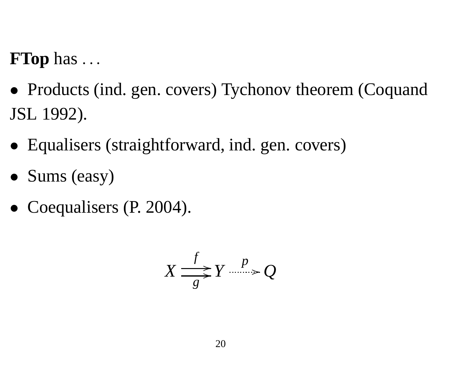# **FTop** has ...

- Products (ind. gen. covers) Tychonov theorem (Coquand JSL 1992).
- Equalisers (straightforward, ind. gen. covers)
- Sums (easy)
- Coequalisers (P. 2004).

$$
X \xrightarrow{f} Y \xrightarrow{p} Q
$$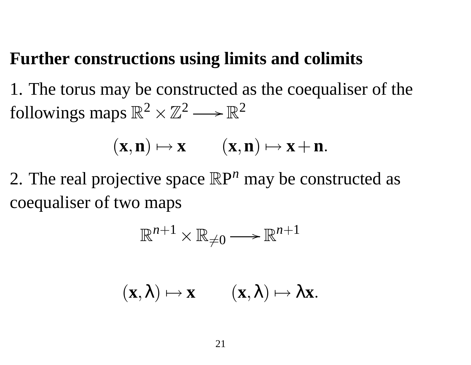#### **Further constructions using limits and colimits**

1. The torus may be constructed as the coequaliser of the followings maps  $\mathbb{R}^2 \times \mathbb{Z}^2 \longrightarrow \mathbb{R}^2$ 

$$
(\mathbf{x}, \mathbf{n}) \mapsto \mathbf{x} \qquad (\mathbf{x}, \mathbf{n}) \mapsto \mathbf{x} + \mathbf{n}.
$$

2. The real projective space RP*<sup>n</sup>* may be constructed as coequaliser of two maps

$$
\mathbb{R}^{n+1}\times\mathbb{R}_{\neq 0}\longrightarrow\mathbb{R}^{n+1}
$$

$$
(\mathbf{x},\lambda)\mapsto\mathbf{x}\qquad (\mathbf{x},\lambda)\mapsto\lambda\mathbf{x}.
$$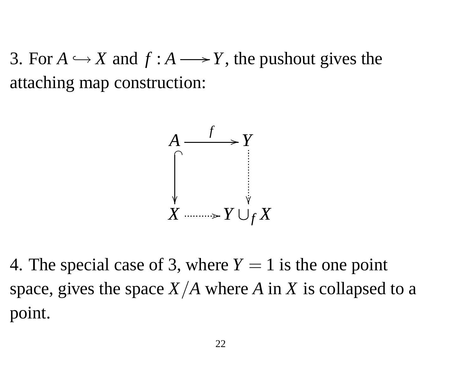3. For  $A \hookrightarrow X$  and  $f : A \longrightarrow Y$ , the pushout gives the attaching map construction:



4. The special case of 3, where  $Y = 1$  is the one point space, gives the space  $X/A$  where *A* in *X* is collapsed to a point.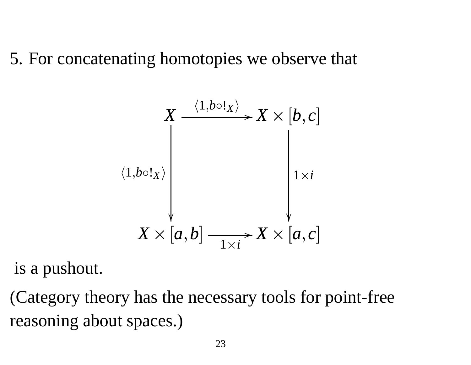5. For concatenating homotopies we observe that



is <sup>a</sup> pushout.

(Category theory has the necessary tools for point-free reasoning about spaces.)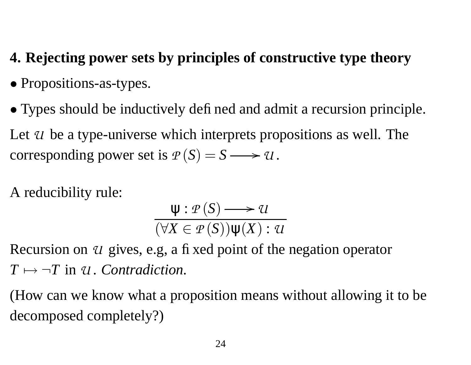#### **4. Rejecting power sets by principles of constructive type theory**

- Propositions-as-types.
- Types should be inductively defined and admit <sup>a</sup> recursion principle.

Let *U* be a type-universe which interprets propositions as well. The corresponding power set is  $P(S) = S \longrightarrow U$ .

A reducibility rule:

$$
\psi: \mathcal{P}(S) \longrightarrow \mathcal{U}
$$

$$
(\forall X \in \mathcal{P}(S)) \psi(X) : \mathcal{U}
$$

Recursion on *<sup>U</sup>* gives, e.g, <sup>a</sup> fixed point of the negation operator  $T \mapsto \neg T$  in  $U$ . *Contradiction.* 

(How can we know what <sup>a</sup> proposition means without allowing it to be decomposed completely?)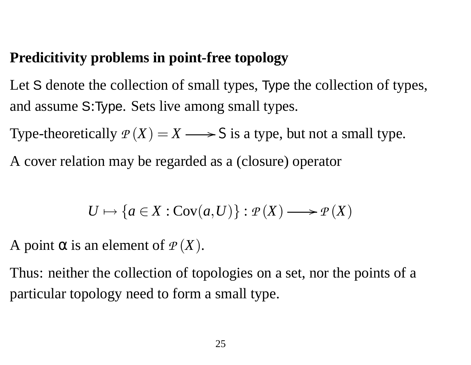#### **Predicitivity problems in point-free topology**

Let S denote the collection of small types, Type the collection of types, and assume S:Type. Sets live among small types.

Type-theoretically  $P(X) = X \rightarrow S$  is a type, but not a small type.

A cover relation may be regarded as <sup>a</sup> (closure) operator

$$
U \mapsto \{a \in X : \text{Cov}(a, U)\} : \mathcal{P}(X) \longrightarrow \mathcal{P}(X)
$$

A point  $\alpha$  is an element of  $P(X)$ .

Thus: neither the collection of topologies on <sup>a</sup> set, nor the points of <sup>a</sup> particular topology need to form <sup>a</sup> small type.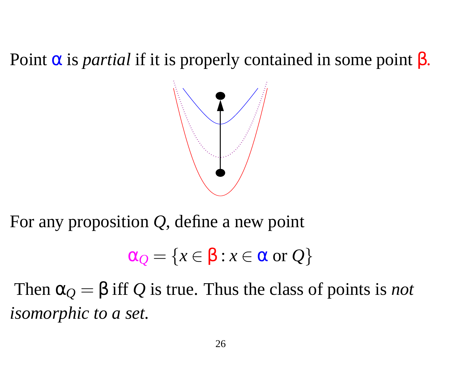### Point <sup>α</sup> is *partial* if it is properly contained in some point β.



For any proposition *Q*, define <sup>a</sup> new point

$$
\alpha_Q = \{x \in \beta : x \in \alpha \text{ or } Q\}
$$

Then  $\alpha_Q = \beta$  iff Q is true. Thus the class of points is *not isomorphic to <sup>a</sup> set.*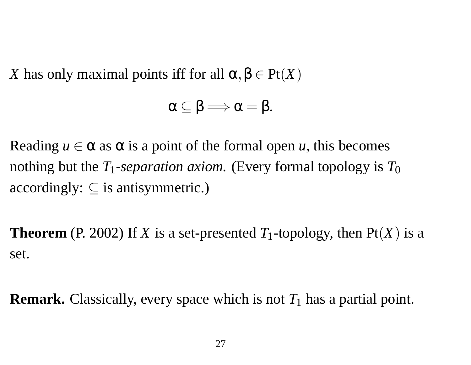*X* has only maximal points iff for all  $\alpha, \beta \in Pt(X)$ 

$$
\alpha \subseteq \beta \Longrightarrow \alpha = \beta.
$$

Reading  $u \in \alpha$  as  $\alpha$  is a point of the formal open *u*, this becomes nothing but the  $T_1$ -separation axiom. (Every formal topology is  $T_0$ accordingly:  $\subseteq$  is antisymmetric.)

**Theorem** (P. 2002) If *X* is a set-presented  $T_1$ -topology, then Pt(*X*) is a set.

**Remark.** Classically, every space which is not  $T_1$  has a partial point.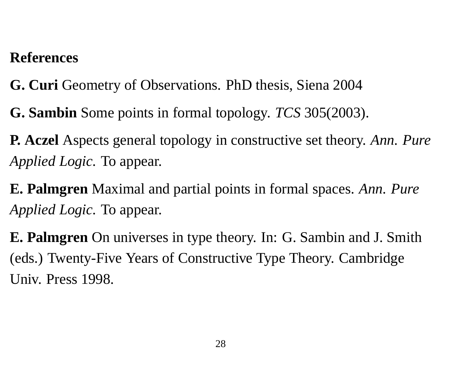#### **References**

- **G. Curi** Geometry of Observations. PhD thesis, Siena 2004
- **G. Sambin** Some points in formal topology. *TCS* 305(2003).
- **P. Aczel** Aspects general topology in constructive set theory. *Ann. Pure Applied Logic.* To appear.
- **E. Palmgren** Maximal and partial points in formal spaces. *Ann. Pure Applied Logic.* To appear.
- **E. Palmgren** On universes in type theory. In: G. Sambin and J. Smith (eds.) Twenty-Five Years of Constructive Type Theory. Cambridge Univ. Press 1998.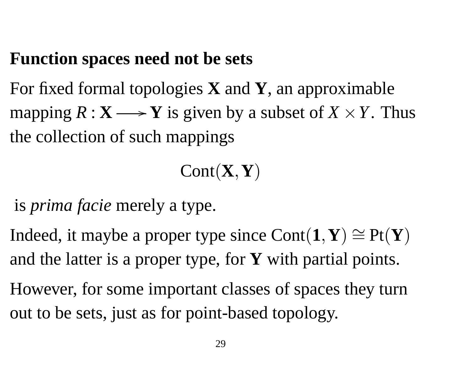### **Function spaces need not be sets**

For fixed formal topologies **X** and **Y**, an approximable mapping  $R: X \longrightarrow Y$  is given by a subset of  $X \times Y$ . Thus the collection of such mappings

# Cont(**<sup>X</sup>**,**<sup>Y</sup>**)

is *prima facie* merely <sup>a</sup> type.

Indeed, it maybe a proper type since  $Cont(1, Y) \cong Pt(Y)$ and the latter is <sup>a</sup> proper type, for **Y** with partial points.

However, for some important classes of spaces they turn out to be sets, just as for point-based topology.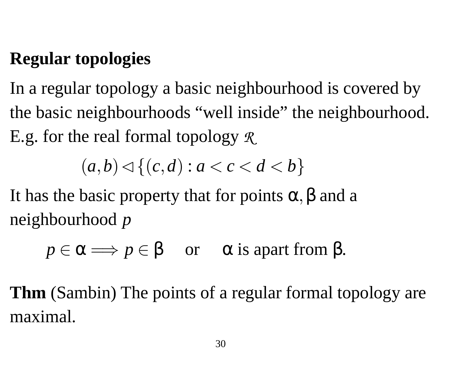### **Regular topologies**

In <sup>a</sup> regular topology <sup>a</sup> basic neighbourhood is covered by the basic neighbourhoods "well inside" the neighbourhood. E.g. for the real formal topology *R*

$$
(a,b) \lhd \{(c,d) : a < c < d < b\}
$$

It has the basic property that for points  $\alpha$ ,  $\beta$  and a neighbourhood *p*

$$
p \in \alpha \Longrightarrow p \in \beta
$$
 or  $\alpha$  is apart from  $\beta$ .

**Thm** (Sambin) The points of <sup>a</sup> regular formal topology are maximal.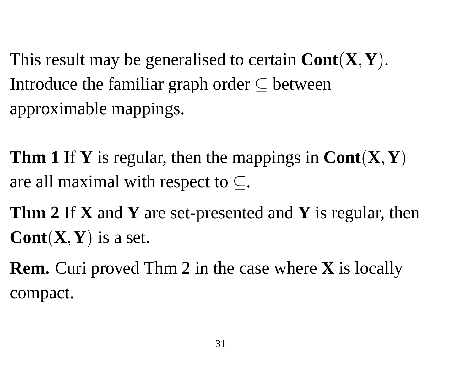This result may be generalised to certain **Cont**(**<sup>X</sup>**,**<sup>Y</sup>**). Introduce the familiar graph order  $\subseteq$  between approximable mappings.

**Thm <sup>1</sup>** If **<sup>Y</sup>** is regular, then the mappings in **Cont**(**<sup>X</sup>**,**<sup>Y</sup>**) are all maximal with respect to  $\subset$ .

**Thm 2** If **X** and **Y** are set-presented and **Y** is regular, then **Cont** $(X, Y)$  is a set.

**Rem.** Curi proved Thm 2 in the case where **X** is locally compact.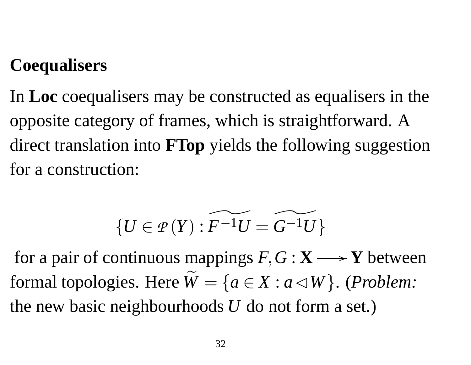# **Coequalisers**

In **Loc** coequalisers may be constructed as equalisers in the opposite category of frames, which is straightforward. A direct translation into **FTop** yields the following suggestion for <sup>a</sup> construction:

$$
\{U\in\mathit{P}\left(Y\right):\widetilde{F^{-1}U}=\widetilde{G^{-1}U}\}
$$

for a pair of continuous mappings  $F, G: \mathbf{X} \longrightarrow \mathbf{Y}$  between formal topologies. Here *W*  $\widetilde{\phantom{m}}$ /V =  ${a \in X : a \lhd W}.$  (*Problem:* the new basic neighbourhoods *U* do not form <sup>a</sup> set.)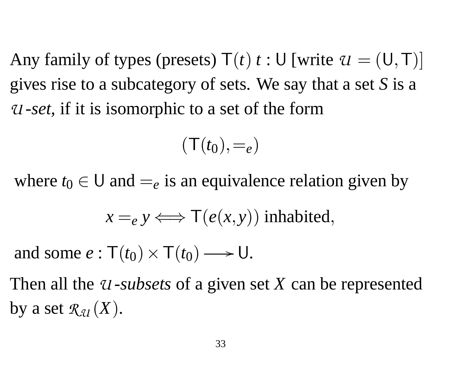Any family of types (presets)  $T(t)$  *t* : U [write  $u = (U, T)$ ] gives rise to <sup>a</sup> subcategory of sets. We say that <sup>a</sup> set *S* is <sup>a</sup> *<sup>U</sup>-set,* if it is isomorphic to <sup>a</sup> set of the form

$$
(\mathsf{T}(t_0),=_e)
$$

where  $t_0 \in U$  and  $=$ <sub>e</sub> is an equivalence relation given by

$$
x =_e y \Longleftrightarrow \mathsf{T}(e(x, y)) \text{ inhabited},
$$

and some  $e : T(t_0) \times T(t_0) \longrightarrow U$ .

Then all the *<sup>U</sup>-subsets* of <sup>a</sup> given set *X* can be represented by a set  $\mathcal{R}_{\mathcal{I}}(X)$ .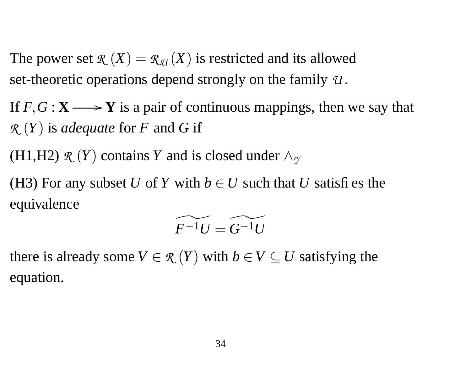The power set  $\mathcal{R}(X) = \mathcal{R}_{U}(X)$  is restricted and its allowed set-theoretic operations depend strongly on the family *<sup>U</sup>*.

If  $F, G: X \longrightarrow Y$  is a pair of continuous mappings, then we say that *R* (*Y*) is *adequate* for *<sup>F</sup>* and *<sup>G</sup>* if

(H1,H2)  $\mathcal{R}(Y)$  contains *Y* and is closed under  $\wedge_{\gamma}$ 

(H3) For any subset *U* of *Y* with  $b \in U$  such that *U* satisfies the equivalence

$$
\widetilde{F^{-1}U}=\widetilde{G^{-1}U}
$$

there is already some  $V \in \mathcal{R}(Y)$  with  $b \in V \subseteq U$  satisfying the equation.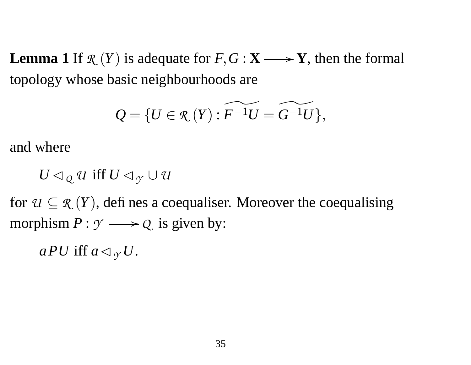**Lemma** 1 If  $\mathcal{R}(Y)$  is adequate for  $F, G: \mathbf{X} \longrightarrow \mathbf{Y}$ , then the formal topology whose basic neighbourhoods are

$$
Q = \{U \in \mathcal{R}(Y) : \widetilde{F^{-1}U} = \widetilde{G^{-1}U} \},
$$

and where

*U* ⊲  $_Q$  *U* iff *U* ⊲  $_\gamma$  ∪ *U* 

for  $\mathcal{U} \subseteq \mathcal{R}(Y)$ , defines a coequaliser. Moreover the coequalising morphism  $P: \mathcal{Y} \longrightarrow Q$  is given by:

*aPU* iff  $a \triangleleft_{\gamma} U$ .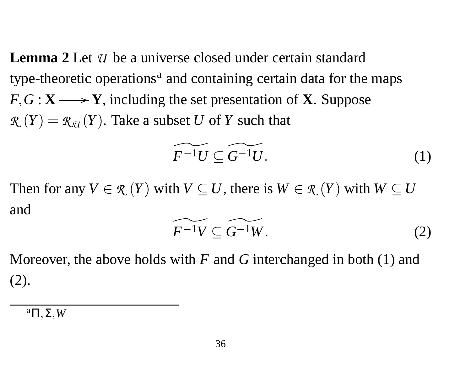**Lemma 2** Let *U* be <sup>a</sup> universe closed under certain standard type-theoretic operations<sup>a</sup> and containing certain data for the maps  $F, G: \mathbf{X} \longrightarrow \mathbf{Y}$ , including the set presentation of **X**. Suppose  $\mathcal{R}(Y) = \mathcal{R}_{U}(Y)$ . Take a subset *U* of *Y* such that

$$
\widetilde{F^{-1}U} \subseteq \widetilde{G^{-1}U}.\tag{1}
$$

Then for any  $V \in \mathcal{R}(Y)$  with  $V \subseteq U$ , there is  $W \in \mathcal{R}(Y)$  with  $W \subseteq U$ and

$$
\widetilde{F^{-1}V} \subseteq \widetilde{G^{-1}W}.\tag{2}
$$

Moreover, the above holds with *F* and *G* interchanged in both (1) and (2).

 ${}^{\mathbf{a}}\Pi, \Sigma, W$